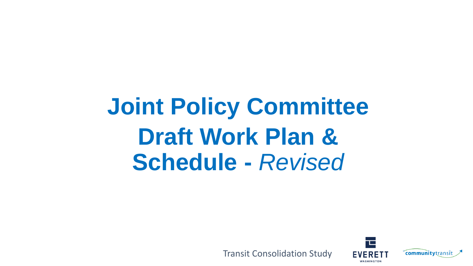# **Joint Policy Committee Draft Work Plan & Schedule -** *Revised*



Transit Consolidation Study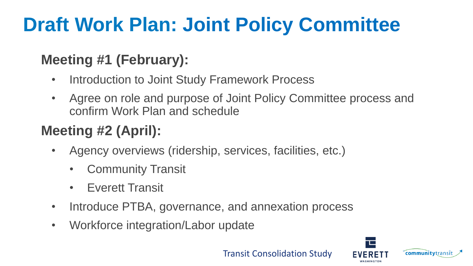#### **Meeting #1 (February):**

- Introduction to Joint Study Framework Process
- Agree on role and purpose of Joint Policy Committee process and confirm Work Plan and schedule

### **Meeting #2 (April):**

- Agency overviews (ridership, services, facilities, etc.)
	- Community Transit
	- Everett Transit
- Introduce PTBA, governance, and annexation process
- Workforce integration/Labor update



Transit Consolidation Study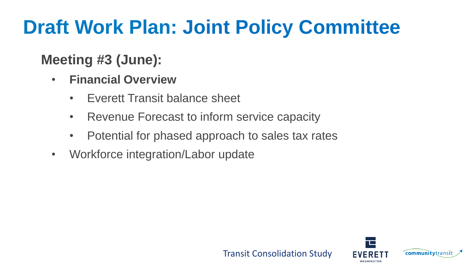#### **Meeting #3 (June):**

- **Financial Overview**
	- Everett Transit balance sheet
	- Revenue Forecast to inform service capacity
	- Potential for phased approach to sales tax rates
- Workforce integration/Labor update

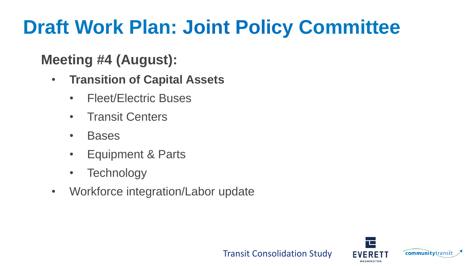#### **Meeting #4 (August):**

- **Transition of Capital Assets**
	- Fleet/Electric Buses
	- Transit Centers
	- Bases
	- Equipment & Parts
	- Technology
- Workforce integration/Labor update

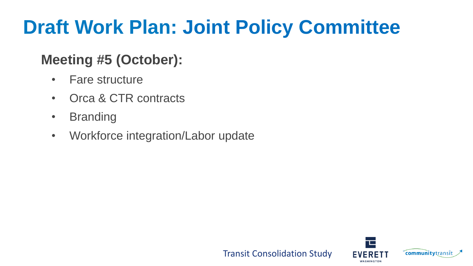#### **Meeting #5 (October):**

- Fare structure
- Orca & CTR contracts
- Branding
- Workforce integration/Labor update

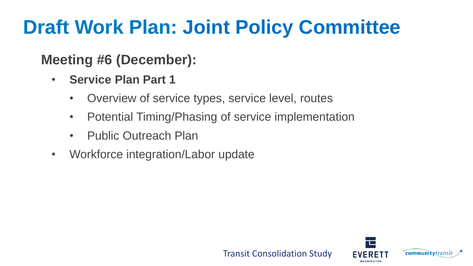#### **Meeting #6 (December):**

- **Service Plan Part 1**
	- Overview of service types, service level, routes
	- Potential Timing/Phasing of service implementation
	- Public Outreach Plan
- Workforce integration/Labor update

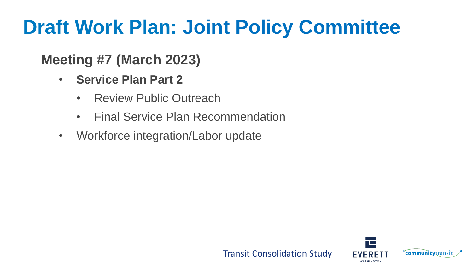#### **Meeting #7 (March 2023)**

- **Service Plan Part 2**
	- Review Public Outreach
	- Final Service Plan Recommendation
- Workforce integration/Labor update

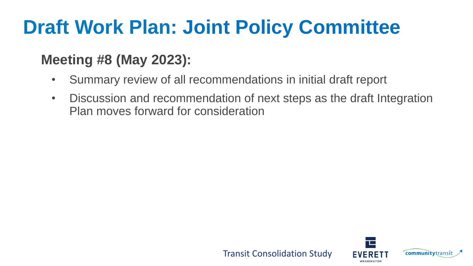#### **Meeting #8 (May 2023):**

- Summary review of all recommendations in initial draft report
- Discussion and recommendation of next steps as the draft Integration Plan moves forward for consideration